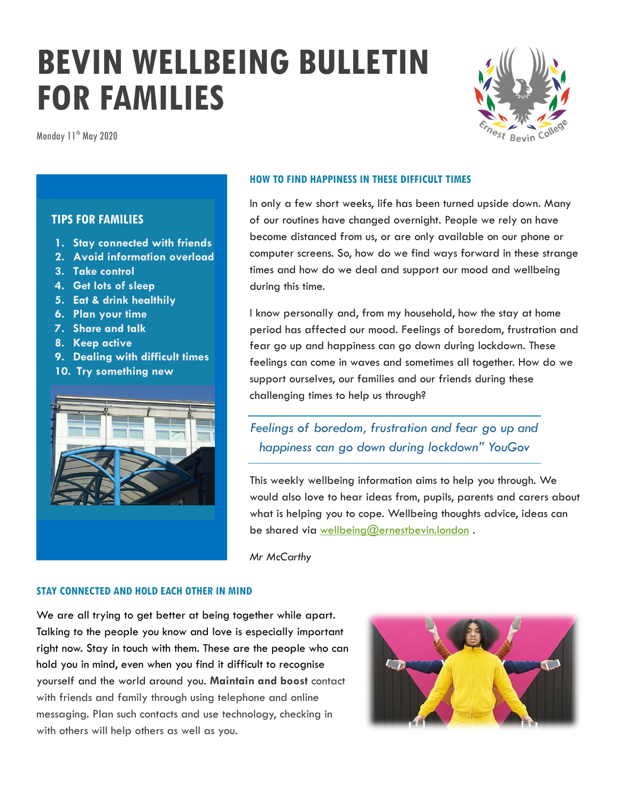# **BEVIN WELLBEING BULLETIN FOR FAMILIES**

Monday 11<sup>th</sup> May 2020



## **TIPS FOR FAMILIES**

- **1. Stay connected with friends**
- **2. Avoid information overload**
- **3. Take control**
- **4. Get lots of sleep**
- **5. Eat & drink healthily**
- **6. Plan your time**
- **7. Share and talk**
- **8. Keep active**
- **9. Dealing with difficult times**
- **10. Try something new**



#### **HOW TO FIND HAPPINESS IN THESE DIFFICULT TIMES**

In only a few short weeks, life has been turned upside down. Many of our routines have changed overnight. People we rely on have become distanced from us, or are only available on our phone or computer screens. So, how do we find ways forward in these strange times and how do we deal and support our mood and wellbeing during this time.

I know personally and, from my household, how the stay at home period has affected our mood. Feelings of boredom, frustration and fear go up and happiness can go down during lockdown. These feelings can come in waves and sometimes all together. How do we support ourselves, our families and our friends during these challenging times to help us through?

## *Feelings of boredom, frustration and fear go up and happiness can go down during lockdown" YouGov*

This weekly wellbeing information aims to help you through. We would also love to hear ideas from, pupils, parents and carers about what is helping you to cope. Wellbeing thoughts advice, ideas can be shared via [wellbeing@ernestbevin.london](mailto:wellbeing@ernestbevin.london).

*Mr McCarthy*

#### **STAY CONNECTED AND HOLD EACH OTHER IN MIND**

We are all trying to get better at being together while apart. Talking to the people you know and love is especially important right now. Stay in touch with them. These are the people who can hold you in mind, even when you find it difficult to recognise yourself and the world around you. **Maintain and boost** contact with friends and family through using telephone and online messaging. Plan such contacts and use technology, checking in with others will help others as well as you.

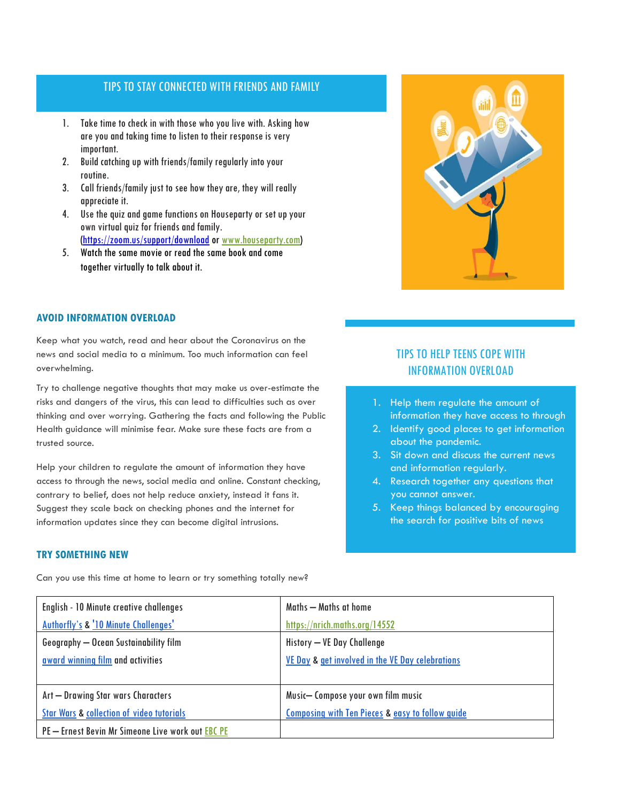## TIPS TO STAY CONNECTED WITH FRIENDS AND FAMILY TIPS TO STAY CONNECTED WITH FRIENDS AND FAMILY

- 1. Take time to check in with those who you live with. Asking how are you and taking time to listen to their response is very important.
- 2. Build catching up with friends/family regularly into your routine.
- 3. Call friends/family just to see how they are, they will really appreciate it.
- 4. Use the quiz and game functions on Houseparty or set up your own virtual quiz for friends and family. [\(https://zoom.us/support/download](https://zoom.us/support/download) o[r www.houseparty.com\)](http://www.houseparty.com/)
- 5. Watch the same movie or read the same book and come together virtually to talk about it.

#### **AVOID INFORMATION OVERLOAD**

Keep what you watch, read and hear about the Coronavirus on the news and social media to a minimum. Too much information can feel overwhelming.

Try to challenge negative thoughts that may make us over-estimate the risks and dangers of the virus, this can lead to difficulties such as over thinking and over worrying. Gathering the facts and following the Public Health guidance will minimise fear. Make sure these facts are from a trusted source.

Help your children to regulate the amount of information they have access to through the news, social media and online. Constant checking, contrary to belief, does not help reduce anxiety, instead it fans it. Suggest they scale back on checking phones and the internet for information updates since they can become digital intrusions.

#### **TRY SOMETHING NEW**

Can you use this time at home to learn or try something totally new?

## TIPS TO HELP TEENS COPE WITH INFORMATION OVERLOAD

- 1. Help them regulate the amount of information they have access to through
- 2. Identify good places to get information about the pandemic.
- 3. Sit down and discuss the current news and information regularly.
- 4. Research together any questions that you cannot answer.
- 5. Keep things balanced by encouraging the search for positive bits of news

| English - 10 Minute creative challenges              | Maths — Maths at home                                       |
|------------------------------------------------------|-------------------------------------------------------------|
| Authorfly's & '10 Minute Challenges'                 | https://nrich.maths.org/14552                               |
| Geography - Ocean Sustainability film                | History - VE Day Challenge                                  |
| award winning film and activities                    | VE Day & get involved in the VE Day celebrations            |
|                                                      |                                                             |
| Art - Drawing Star wars Characters                   | Music-Compose your own film music                           |
| <b>Star Wars &amp; collection of video tutorials</b> | <b>Composing with Ten Pieces &amp; easy to follow guide</b> |
| PE - Ernest Bevin Mr Simeone Live work out EBC PE    |                                                             |